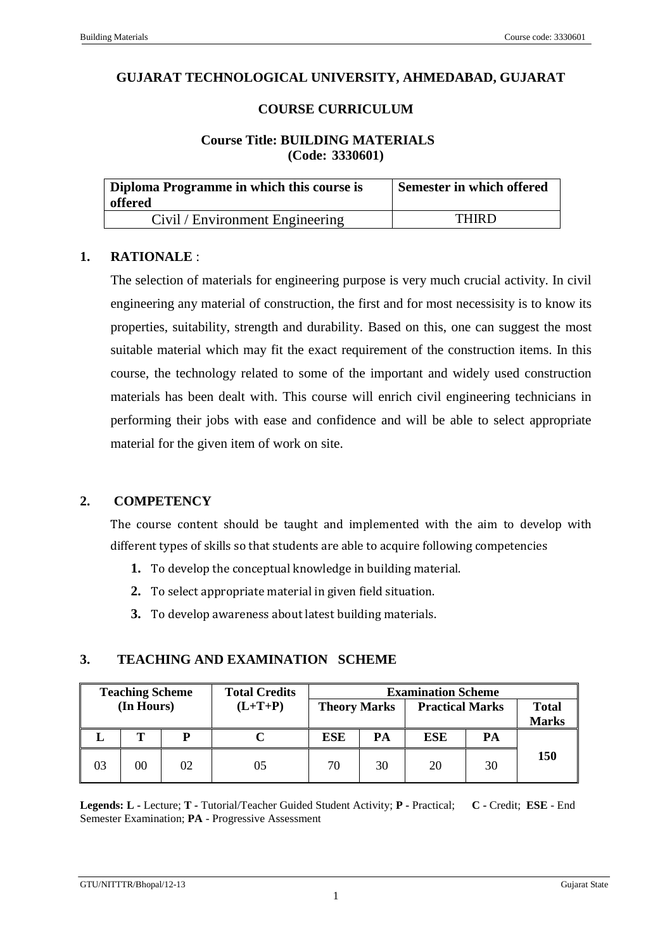# **GUJARAT TECHNOLOGICAL UNIVERSITY, AHMEDABAD, GUJARAT**

# **COURSE CURRICULUM**

#### **Course Title: BUILDING MATERIALS (Code: 3330601)**

| Diploma Programme in which this course is<br>offered | Semester in which offered |  |
|------------------------------------------------------|---------------------------|--|
| Civil / Environment Engineering                      | <b>THIRD</b>              |  |

#### **1. RATIONALE** :

The selection of materials for engineering purpose is very much crucial activity. In civil engineering any material of construction, the first and for most necessisity is to know its properties, suitability, strength and durability. Based on this, one can suggest the most suitable material which may fit the exact requirement of the construction items. In this course, the technology related to some of the important and widely used construction materials has been dealt with. This course will enrich civil engineering technicians in performing their jobs with ease and confidence and will be able to select appropriate material for the given item of work on site.

# **2. COMPETENCY**

The course content should be taught and implemented with the aim to develop with different types of skills so that students are able to acquire following competencies

- **1.** To develop the conceptual knowledge in building material.
- **2.** To select appropriate material in given field situation.
- **3.** To develop awareness about latest building materials.

### **3. TEACHING AND EXAMINATION SCHEME**

|                              | <b>Examination Scheme</b> |                        |    |                     | <b>Total Credits</b> |    | <b>Teaching Scheme</b> |    |
|------------------------------|---------------------------|------------------------|----|---------------------|----------------------|----|------------------------|----|
| <b>Total</b><br><b>Marks</b> |                           | <b>Practical Marks</b> |    | <b>Theory Marks</b> | $(L+T+P)$            |    | (In Hours)             |    |
|                              | PА                        | ESE                    | PA | ESE                 |                      | P  | Т                      |    |
| <b>150</b>                   | 30                        | 20                     | 30 | 70                  | 05                   | 02 | $00\,$                 | 03 |

**Legends: L -** Lecture; **T -** Tutorial/Teacher Guided Student Activity; **P -** Practical; **C -** Credit; **ESE** - End Semester Examination; **PA** - Progressive Assessment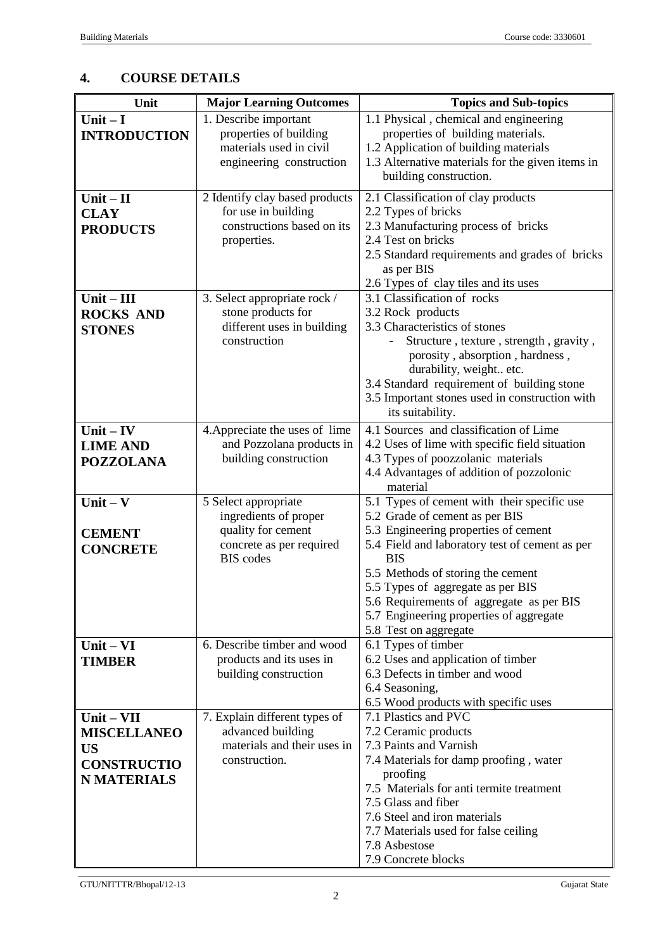# **4. COURSE DETAILS**

| Unit                                                                                        | <b>Major Learning Outcomes</b>                                                                                      | <b>Topics and Sub-topics</b>                                                                                                                                                                                                                                                                                                                                                    |
|---------------------------------------------------------------------------------------------|---------------------------------------------------------------------------------------------------------------------|---------------------------------------------------------------------------------------------------------------------------------------------------------------------------------------------------------------------------------------------------------------------------------------------------------------------------------------------------------------------------------|
| Unit $-I$<br><b>INTRODUCTION</b>                                                            | 1. Describe important<br>properties of building<br>materials used in civil<br>engineering construction              | 1.1 Physical, chemical and engineering<br>properties of building materials.<br>1.2 Application of building materials<br>1.3 Alternative materials for the given items in<br>building construction.                                                                                                                                                                              |
| $Unit - II$<br><b>CLAY</b><br><b>PRODUCTS</b>                                               | 2 Identify clay based products<br>for use in building<br>constructions based on its<br>properties.                  | 2.1 Classification of clay products<br>2.2 Types of bricks<br>2.3 Manufacturing process of bricks<br>2.4 Test on bricks<br>2.5 Standard requirements and grades of bricks<br>as per BIS<br>2.6 Types of clay tiles and its uses                                                                                                                                                 |
| $Unit - III$<br><b>ROCKS AND</b><br><b>STONES</b>                                           | 3. Select appropriate rock /<br>stone products for<br>different uses in building<br>construction                    | 3.1 Classification of rocks<br>3.2 Rock products<br>3.3 Characteristics of stones<br>Structure, texture, strength, gravity,<br>porosity, absorption, hardness,<br>durability, weight etc.<br>3.4 Standard requirement of building stone<br>3.5 Important stones used in construction with<br>its suitability.                                                                   |
| $Unit - IV$<br><b>LIME AND</b><br><b>POZZOLANA</b>                                          | 4. Appreciate the uses of lime<br>and Pozzolana products in<br>building construction                                | 4.1 Sources and classification of Lime<br>4.2 Uses of lime with specific field situation<br>4.3 Types of poozzolanic materials<br>4.4 Advantages of addition of pozzolonic<br>material                                                                                                                                                                                          |
| Unit $-$ V<br><b>CEMENT</b><br><b>CONCRETE</b>                                              | 5 Select appropriate<br>ingredients of proper<br>quality for cement<br>concrete as per required<br><b>BIS</b> codes | 5.1 Types of cement with their specific use<br>5.2 Grade of cement as per BIS<br>5.3 Engineering properties of cement<br>5.4 Field and laboratory test of cement as per<br><b>BIS</b><br>5.5 Methods of storing the cement<br>5.5 Types of aggregate as per BIS<br>5.6 Requirements of aggregate as per BIS<br>5.7 Engineering properties of aggregate<br>5.8 Test on aggregate |
| $Unit - VI$<br><b>TIMBER</b>                                                                | 6. Describe timber and wood<br>products and its uses in<br>building construction                                    | 6.1 Types of timber<br>6.2 Uses and application of timber<br>6.3 Defects in timber and wood<br>6.4 Seasoning,<br>6.5 Wood products with specific uses                                                                                                                                                                                                                           |
| $Unit - VII$<br><b>MISCELLANEO</b><br><b>US</b><br><b>CONSTRUCTIO</b><br><b>N MATERIALS</b> | 7. Explain different types of<br>advanced building<br>materials and their uses in<br>construction.                  | 7.1 Plastics and PVC<br>7.2 Ceramic products<br>7.3 Paints and Varnish<br>7.4 Materials for damp proofing, water<br>proofing<br>7.5 Materials for anti termite treatment<br>7.5 Glass and fiber<br>7.6 Steel and iron materials<br>7.7 Materials used for false ceiling<br>7.8 Asbestose<br>7.9 Concrete blocks                                                                 |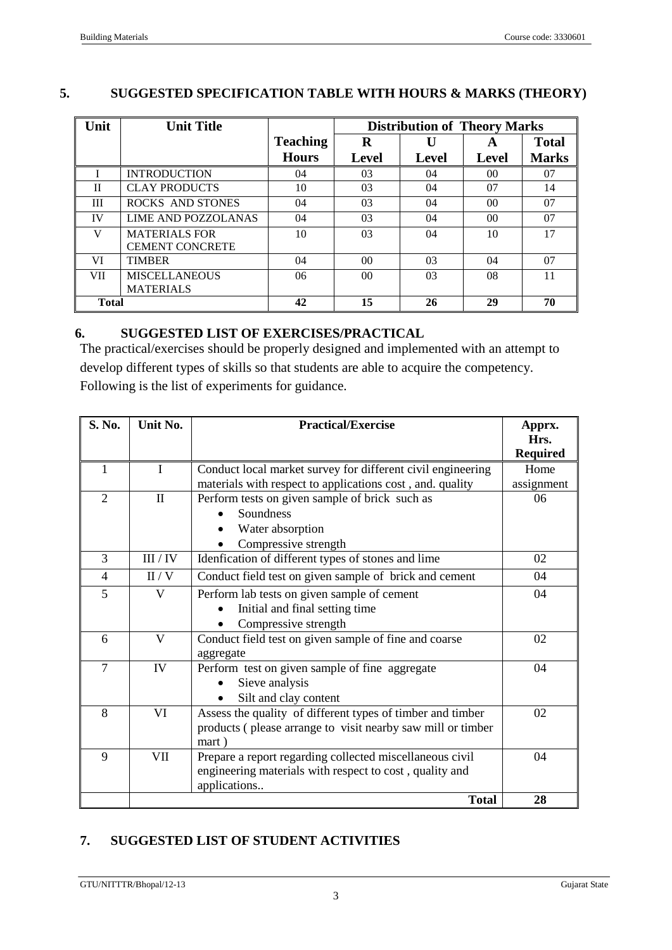### **5. SUGGESTED SPECIFICATION TABLE WITH HOURS & MARKS (THEORY)**

| Unit         | <b>Unit Title</b>      |                 | <b>Distribution of Theory Marks</b> |       |                 |              |
|--------------|------------------------|-----------------|-------------------------------------|-------|-----------------|--------------|
|              |                        | <b>Teaching</b> | $\bf{R}$                            |       | A               | <b>Total</b> |
|              |                        | <b>Hours</b>    | <b>Level</b>                        | Level | Level           | <b>Marks</b> |
|              | <b>INTRODUCTION</b>    | 04              | 03                                  | 04    | 00 <sup>2</sup> | 07           |
| $\mathbf{I}$ | <b>CLAY PRODUCTS</b>   | 10              | 03                                  | 04    | 07              | 14           |
| Ш            | ROCKS AND STONES       | 04              | 03                                  | 04    | 00 <sup>2</sup> | 07           |
| IV           | LIME AND POZZOLANAS    | 04              | 03                                  | 04    | 0 <sup>0</sup>  | 07           |
| V            | <b>MATERIALS FOR</b>   | 10              | 03                                  | 04    | 10              | 17           |
|              | <b>CEMENT CONCRETE</b> |                 |                                     |       |                 |              |
| VI           | <b>TIMBER</b>          | 04              | 00 <sup>0</sup>                     | 03    | 04              | 07           |
| VII.         | <b>MISCELLANEOUS</b>   | 06              | 0 <sub>0</sub>                      | 03    | 08              | 11           |
|              | <b>MATERIALS</b>       |                 |                                     |       |                 |              |
| <b>Total</b> |                        | 42              | 15                                  | 26    | 29              | 70           |

# **6. SUGGESTED LIST OF EXERCISES/PRACTICAL**

The practical/exercises should be properly designed and implemented with an attempt to develop different types of skills so that students are able to acquire the competency. Following is the list of experiments for guidance.

| S. No.         | Unit No.     | <b>Practical/Exercise</b>                                   | Apprx.<br>Hrs.  |
|----------------|--------------|-------------------------------------------------------------|-----------------|
|                |              |                                                             | <b>Required</b> |
| 1              | $\mathbf I$  | Conduct local market survey for different civil engineering | Home            |
|                |              | materials with respect to applications cost, and. quality   | assignment      |
| $\overline{2}$ | $\mathbf{I}$ | Perform tests on given sample of brick such as              | 06              |
|                |              | Soundness                                                   |                 |
|                |              | Water absorption                                            |                 |
|                |              | Compressive strength                                        |                 |
| 3              | III / IV     | Idenfication of different types of stones and lime          | 02              |
| $\overline{4}$ | II/V         | Conduct field test on given sample of brick and cement      | 04              |
| 5              | V            | Perform lab tests on given sample of cement                 | 04              |
|                |              | Initial and final setting time                              |                 |
|                |              | Compressive strength                                        |                 |
| 6              | $\mathbf{V}$ | Conduct field test on given sample of fine and coarse       | 02              |
|                |              | aggregate                                                   |                 |
| $\tau$         | IV           | Perform test on given sample of fine aggregate              | 04              |
|                |              | Sieve analysis                                              |                 |
|                |              | Silt and clay content                                       |                 |
| 8              | VI           | Assess the quality of different types of timber and timber  | 02              |
|                |              | products (please arrange to visit nearby saw mill or timber |                 |
|                |              | mart)                                                       |                 |
| 9              | VII          | Prepare a report regarding collected miscellaneous civil    | 04              |
|                |              | engineering materials with respect to cost, quality and     |                 |
|                |              | applications                                                |                 |
|                |              | <b>Total</b>                                                | 28              |

# **7. SUGGESTED LIST OF STUDENT ACTIVITIES**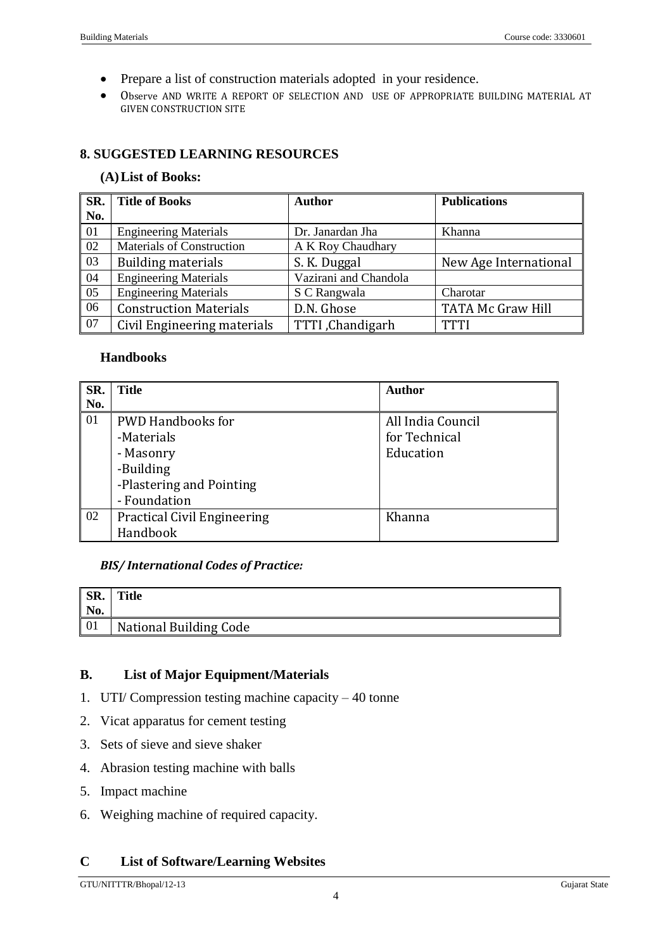- Prepare a list of construction materials adopted in your residence.
- Observe AND WRITE A REPORT OF SELECTION AND USE OF APPROPRIATE BUILDING MATERIAL AT GIVEN CONSTRUCTION SITE

# **8. SUGGESTED LEARNING RESOURCES**

#### **(A)List of Books:**

| SR.              | <b>Title of Books</b>            | <b>Author</b>         | <b>Publications</b>      |
|------------------|----------------------------------|-----------------------|--------------------------|
| No.              |                                  |                       |                          |
| $\vert 01$       | <b>Engineering Materials</b>     | Dr. Janardan Jha      | Khanna                   |
| $\sqrt{02}$      | <b>Materials of Construction</b> | A K Roy Chaudhary     |                          |
| $\sqrt{03}$      | Building materials               | S. K. Duggal          | New Age International    |
| 04               | <b>Engineering Materials</b>     | Vazirani and Chandola |                          |
| $\vert 05 \vert$ | <b>Engineering Materials</b>     | S C Rangwala          | Charotar                 |
| 06               | <b>Construction Materials</b>    | D.N. Ghose            | <b>TATA Mc Graw Hill</b> |
| $\overline{07}$  | Civil Engineering materials      | TTTI, Chandigarh      | TTTI                     |

#### **Handbooks**

| <b>SR.</b>       | Title                              | Author            |
|------------------|------------------------------------|-------------------|
| No.              |                                    |                   |
| $\vert 01$       | <b>PWD Handbooks for</b>           | All India Council |
|                  | -Materials                         | for Technical     |
|                  | - Masonry                          | Education         |
|                  | -Building                          |                   |
|                  | -Plastering and Pointing           |                   |
|                  | - Foundation                       |                   |
| $\vert 02 \vert$ | <b>Practical Civil Engineering</b> | Khanna            |
|                  | Handbook                           |                   |

### *BIS/ International Codes of Practice:*

| <b>SR.</b><br>No. | <b>Title</b>           |
|-------------------|------------------------|
| 01                | National Building Code |

### **B. List of Major Equipment/Materials**

- 1. UTI/ Compression testing machine capacity 40 tonne
- 2. Vicat apparatus for cement testing
- 3. Sets of sieve and sieve shaker
- 4. Abrasion testing machine with balls
- 5. Impact machine
- 6. Weighing machine of required capacity.

# **C List of Software/Learning Websites**